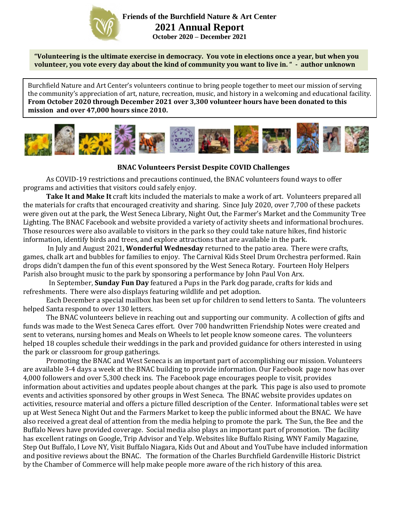

**Friends of the Burchfield Nature & Art Center 2021 Annual Report October 2020 – December 2021**

**"Volunteering is the ultimate exercise in democracy. You vote in elections once a year, but when you volunteer, you vote every day about the kind of community you want to live in. " - author unknown**

Burchfield Nature and Art Center's volunteers continue to bring people together to meet our mission of serving the community's appreciation of art, nature, recreation, music, and history in a welcoming and educational facility. **From October 2020 through December 2021 over 3,300 volunteer hours have been donated to this mission and over 47,000 hours since 2010.**



## **BNAC Volunteers Persist Despite COVID Challenges**

As COVID-19 restrictions and precautions continued, the BNAC volunteers found ways to offer programs and activities that visitors could safely enjoy.

**Take It and Make It** craft kits included the materials to make a work of art. Volunteers prepared all the materials for crafts that encouraged creativity and sharing. Since July 2020, over 7,700 of these packets were given out at the park, the West Seneca Library, Night Out, the Farmer's Market and the Community Tree Lighting. The BNAC Facebook and website provided a variety of activity sheets and informational brochures. Those resources were also available to visitors in the park so they could take nature hikes, find historic information, identify birds and trees, and explore attractions that are available in the park.

 In July and August 2021, **Wonderful Wednesday** returned to the patio area. There were crafts, games, chalk art and bubbles for families to enjoy. The Carnival Kids Steel Drum Orchestra performed. Rain drops didn't dampen the fun of this event sponsored by the West Seneca Rotary. Fourteen Holy Helpers Parish also brought music to the park by sponsoring a performance by John Paul Von Arx.

 In September, **Sunday Fun Day** featured a Pups in the Park dog parade, crafts for kids and refreshments. There were also displays featuring wildlife and pet adoption.

Each December a special mailbox has been set up for children to send letters to Santa. The volunteers helped Santa respond to over 130 letters.

The BNAC volunteers believe in reaching out and supporting our community. A collection of gifts and funds was made to the West Seneca Cares effort. Over 700 handwritten Friendship Notes were created and sent to veterans, nursing homes and Meals on Wheels to let people know someone cares. The volunteers helped 18 couples schedule their weddings in the park and provided guidance for others interested in using the park or classroom for group gatherings.

Promoting the BNAC and West Seneca is an important part of accomplishing our mission. Volunteers are available 3-4 days a week at the BNAC building to provide information. Our Facebook page now has over 4,000 followers and over 5,300 check ins. The Facebook page encourages people to visit, provides information about activities and updates people about changes at the park. This page is also used to promote events and activities sponsored by other groups in West Seneca. The BNAC website provides updates on activities, resource material and offers a picture filled description of the Center. Informational tables were set up at West Seneca Night Out and the Farmers Market to keep the public informed about the BNAC. We have also received a great deal of attention from the media helping to promote the park. The Sun, the Bee and the Buffalo News have provided coverage. Social media also plays an important part of promotion. The facility has excellent ratings on Google, Trip Advisor and Yelp. Websites like Buffalo Rising, WNY Family Magazine, Step Out Buffalo, I Love NY, Visit Buffalo Niagara, Kids Out and About and YouTube have included information and positive reviews about the BNAC. The formation of the Charles Burchfield Gardenville Historic District by the Chamber of Commerce will help make people more aware of the rich history of this area.